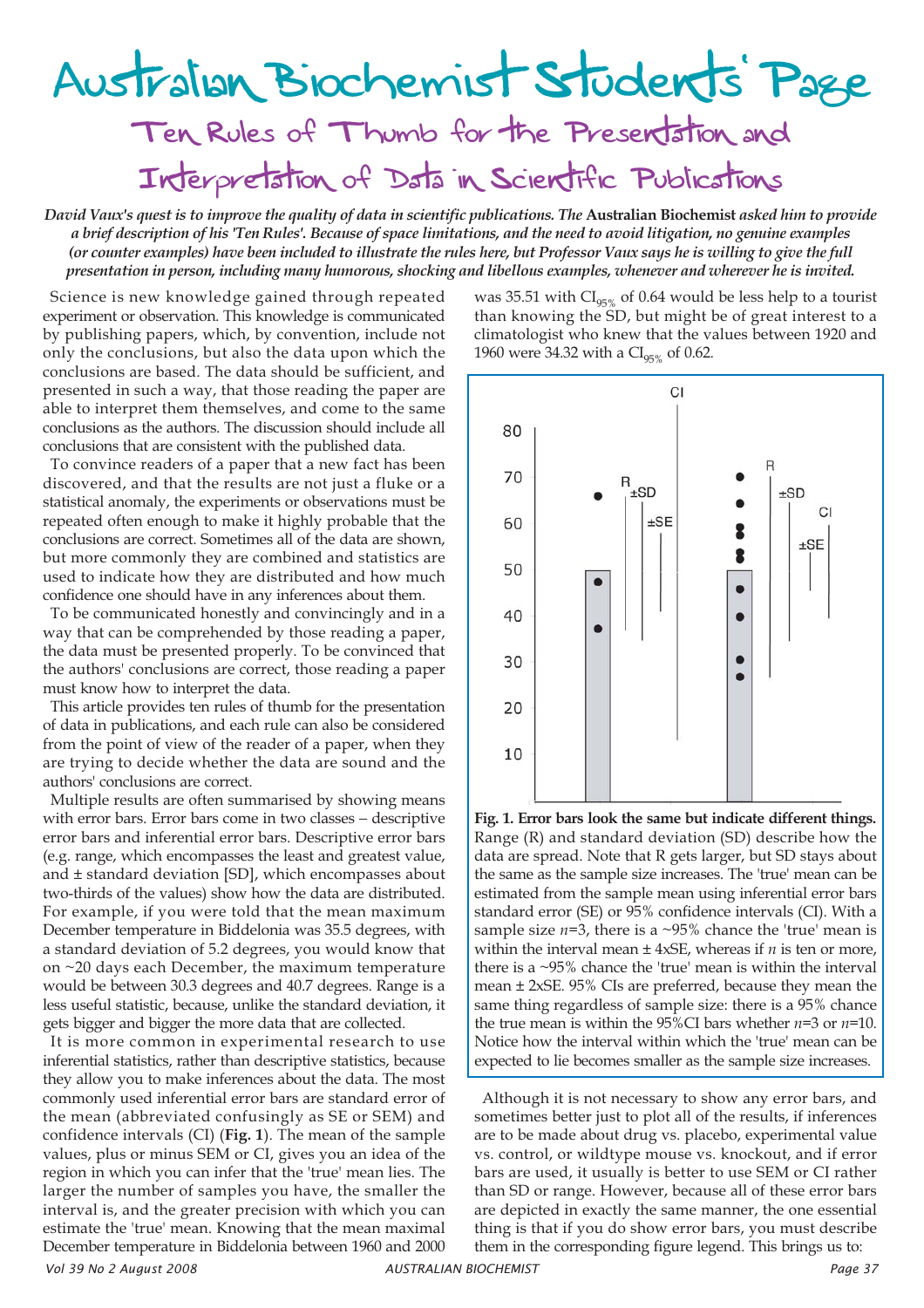## Australian Biochemist Students' Page

Ten Rules of Thumb for the Presentation and Interpretation of Data in Scientific Publications

*David Vaux's quest is to improve the quality of data in scientific publications. The* **Australian Biochemist** *asked him to provide a brief description of his 'Ten Rules'. Because of space limitations, and the need to avoid litigation, no genuine examples (or counter examples) have been included to illustrate the rules here, but Professor Vaux says he is willing to give the full presentation in person, including many humorous, shocking and libellous examples, whenever and wherever he is invited.*

Science is new knowledge gained through repeated experiment or observation. This knowledge is communicated by publishing papers, which, by convention, include not only the conclusions, but also the data upon which the conclusions are based. The data should be sufficient, and presented in such a way, that those reading the paper are able to interpret them themselves, and come to the same conclusions as the authors. The discussion should include all conclusions that are consistent with the published data.

To convince readers of a paper that a new fact has been discovered, and that the results are not just a fluke or a statistical anomaly, the experiments or observations must be repeated often enough to make it highly probable that the conclusions are correct. Sometimes all of the data are shown, but more commonly they are combined and statistics are used to indicate how they are distributed and how much confidence one should have in any inferences about them.

To be communicated honestly and convincingly and in a way that can be comprehended by those reading a paper, the data must be presented properly. To be convinced that the authors' conclusions are correct, those reading a paper must know how to interpret the data.

This article provides ten rules of thumb for the presentation of data in publications, and each rule can also be considered from the point of view of the reader of a paper, when they are trying to decide whether the data are sound and the authors' conclusions are correct.

Multiple results are often summarised by showing means with error bars. Error bars come in two classes − descriptive error bars and inferential error bars. Descriptive error bars (e.g. range, which encompasses the least and greatest value, and ± standard deviation [SD], which encompasses about two-thirds of the values) show how the data are distributed. For example, if you were told that the mean maximum December temperature in Biddelonia was 35.5 degrees, with a standard deviation of 5.2 degrees, you would know that on ~20 days each December, the maximum temperature would be between 30.3 degrees and 40.7 degrees. Range is a less useful statistic, because, unlike the standard deviation, it gets bigger and bigger the more data that are collected.

*Vol 39 No 2 August 2008 AUSTRALIAN BIOCHEMIST Page 37* It is more common in experimental research to use inferential statistics, rather than descriptive statistics, because they allow you to make inferences about the data. The most commonly used inferential error bars are standard error of the mean (abbreviated confusingly as SE or SEM) and confidence intervals (CI) (**Fig. 1**). The mean of the sample values, plus or minus SEM or CI, gives you an idea of the region in which you can infer that the 'true' mean lies. The larger the number of samples you have, the smaller the interval is, and the greater precision with which you can estimate the 'true' mean. Knowing that the mean maximal December temperature in Biddelonia between 1960 and 2000

was 35.51 with  $CI_{95\%}$  of 0.64 would be less help to a tourist than knowing the SD, but might be of great interest to a climatologist who knew that the values between 1920 and 1960 were 34.32 with a  $CI_{95\%}$  of 0.62.



**Fig. 1. Error bars look the same but indicate different things.** Range (R) and standard deviation (SD) describe how the data are spread. Note that R gets larger, but SD stays about the same as the sample size increases. The 'true' mean can be estimated from the sample mean using inferential error bars standard error (SE) or 95% confidence intervals (CI). With a sample size  $n=3$ , there is a ~95% chance the 'true' mean is within the interval mean  $\pm$  4xSE, whereas if  $n$  is ten or more, there is a ~95% chance the 'true' mean is within the interval mean ± 2xSE. 95% CIs are preferred, because they mean the same thing regardless of sample size: there is a 95% chance the true mean is within the 95%CI bars whether *n*=3 or *n*=10. Notice how the interval within which the 'true' mean can be expected to lie becomes smaller as the sample size increases.

Although it is not necessary to show any error bars, and sometimes better just to plot all of the results, if inferences are to be made about drug vs. placebo, experimental value vs. control, or wildtype mouse vs. knockout, and if error bars are used, it usually is better to use SEM or CI rather than SD or range. However, because all of these error bars are depicted in exactly the same manner, the one essential thing is that if you do show error bars, you must describe them in the corresponding figure legend. This brings us to: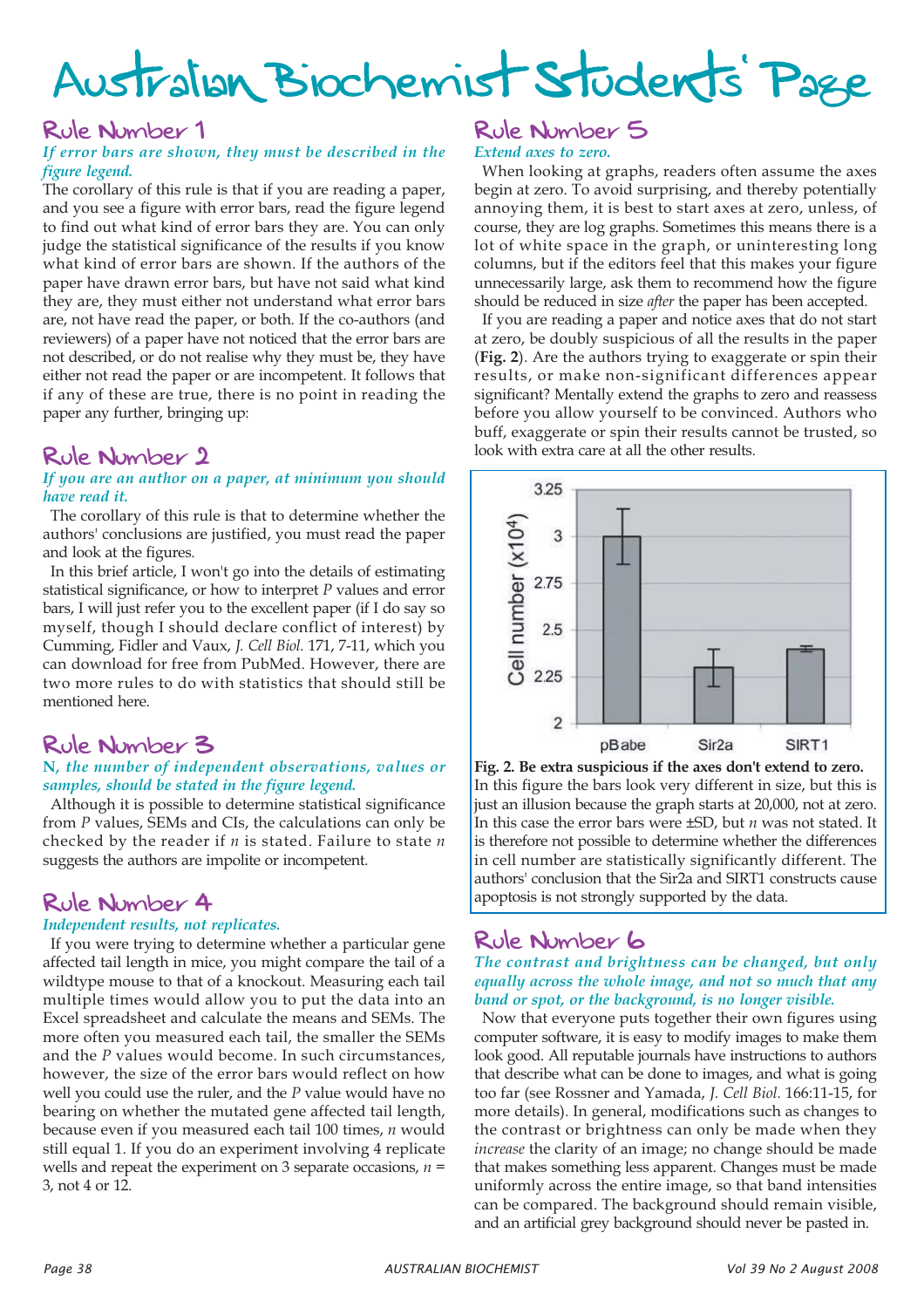# Australian Biochemist Students' Page

### Rule Number 1

### *If error bars are shown, they must be described in the figure legend.*

The corollary of this rule is that if you are reading a paper, and you see a figure with error bars, read the figure legend to find out what kind of error bars they are. You can only judge the statistical significance of the results if you know what kind of error bars are shown. If the authors of the paper have drawn error bars, but have not said what kind they are, they must either not understand what error bars are, not have read the paper, or both. If the co-authors (and reviewers) of a paper have not noticed that the error bars are not described, or do not realise why they must be, they have either not read the paper or are incompetent. It follows that if any of these are true, there is no point in reading the paper any further, bringing up:

## Rule Number 2

### *If you are an author on a paper, at minimum you should have read it.*

The corollary of this rule is that to determine whether the authors' conclusions are justified, you must read the paper and look at the figures.

In this brief article, I won't go into the details of estimating statistical significance, or how to interpret *P* values and error bars, I will just refer you to the excellent paper (if I do say so myself, though I should declare conflict of interest) by Cumming, Fidler and Vaux, *J. Cell Biol.* 171, 7-11, which you can download for free from PubMed. However, there are two more rules to do with statistics that should still be mentioned here.

## Rule Number 3

### **N***, the number of independent observations, values or samples, should be stated in the figure legend.*

Although it is possible to determine statistical significance from *P* values, SEMs and CIs, the calculations can only be checked by the reader if *n* is stated. Failure to state *n* suggests the authors are impolite or incompetent.

## Rule Number 4

### *Independent results, not replicates.*

If you were trying to determine whether a particular gene affected tail length in mice, you might compare the tail of a wildtype mouse to that of a knockout. Measuring each tail multiple times would allow you to put the data into an Excel spreadsheet and calculate the means and SEMs. The more often you measured each tail, the smaller the SEMs and the *P* values would become. In such circumstances, however, the size of the error bars would reflect on how well you could use the ruler, and the *P* value would have no bearing on whether the mutated gene affected tail length, because even if you measured each tail 100 times, *n* would still equal 1. If you do an experiment involving 4 replicate wells and repeat the experiment on 3 separate occasions, *n* = 3, not 4 or 12.

### Rule Number 5 *Extend axes to zero.*

When looking at graphs, readers often assume the axes begin at zero. To avoid surprising, and thereby potentially annoying them, it is best to start axes at zero, unless, of course, they are log graphs. Sometimes this means there is a lot of white space in the graph, or uninteresting long columns, but if the editors feel that this makes your figure unnecessarily large, ask them to recommend how the figure should be reduced in size *after* the paper has been accepted.

If you are reading a paper and notice axes that do not start at zero, be doubly suspicious of all the results in the paper (**Fig. 2**). Are the authors trying to exaggerate or spin their results, or make non-significant differences appear significant? Mentally extend the graphs to zero and reassess before you allow yourself to be convinced. Authors who buff, exaggerate or spin their results cannot be trusted, so look with extra care at all the other results.



**Fig. 2. Be extra suspicious if the axes don't extend to zero.** In this figure the bars look very different in size, but this is just an illusion because the graph starts at 20,000, not at zero. In this case the error bars were ±SD, but *n* was not stated. It is therefore not possible to determine whether the differences in cell number are statistically significantly different. The authors' conclusion that the Sir2a and SIRT1 constructs cause apoptosis is not strongly supported by the data.

## Rule Number 6

*The contrast and brightness can be changed, but only equally across the whole image, and not so much that any band or spot, or the background, is no longer visible.*

Now that everyone puts together their own figures using computer software, it is easy to modify images to make them look good. All reputable journals have instructions to authors that describe what can be done to images, and what is going too far (see Rossner and Yamada, *J. Cell Biol.* 166:11-15, for more details). In general, modifications such as changes to the contrast or brightness can only be made when they *increase* the clarity of an image; no change should be made that makes something less apparent. Changes must be made uniformly across the entire image, so that band intensities can be compared. The background should remain visible, and an artificial grey background should never be pasted in.